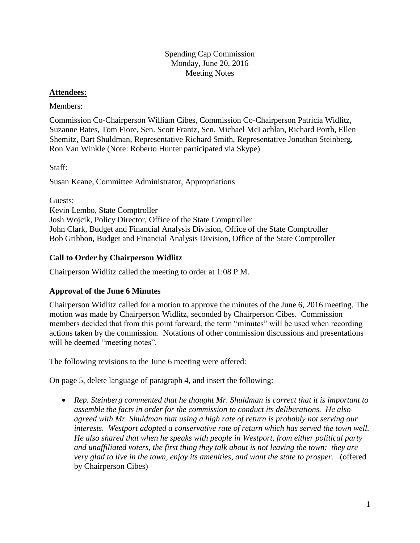## **Attendees:**

## Members:

Commission Co-Chairperson William Cibes, Commission Co-Chairperson Patricia Widlitz, Suzanne Bates, Tom Fiore, Sen. Scott Frantz, Sen. Michael McLachlan, Richard Porth, Ellen Shemitz, Bart Shuldman, Representative Richard Smith, Representative Jonathan Steinberg, Ron Van Winkle (Note: Roberto Hunter participated via Skype)

Staff:

Susan Keane, Committee Administrator, Appropriations

Guests: Kevin Lembo, State Comptroller Josh Wojcik, Policy Director, Office of the State Comptroller John Clark, Budget and Financial Analysis Division, Office of the State Comptroller Bob Gribbon, Budget and Financial Analysis Division, Office of the State Comptroller

## **Call to Order by Chairperson Widlitz**

Chairperson Widlitz called the meeting to order at 1:08 P.M.

## **Approval of the June 6 Minutes**

Chairperson Widlitz called for a motion to approve the minutes of the June 6, 2016 meeting. The motion was made by Chairperson Widlitz, seconded by Chairperson Cibes. Commission members decided that from this point forward, the term "minutes" will be used when recording actions taken by the commission. Notations of other commission discussions and presentations will be deemed "meeting notes".

The following revisions to the June 6 meeting were offered:

On page 5, delete language of paragraph 4, and insert the following:

 *Rep. Steinberg commented that he thought Mr. Shuldman is correct that it is important to assemble the facts in order for the commission to conduct its deliberations. He also agreed with Mr. Shuldman that using a high rate of return is probably not serving our interests. Westport adopted a conservative rate of return which has served the town well. He also shared that when he speaks with people in Westport, from either political party and unaffiliated voters, the first thing they talk about is not leaving the town: they are very glad to live in the town, enjoy its amenities, and want the state to prosper.* (offered by Chairperson Cibes)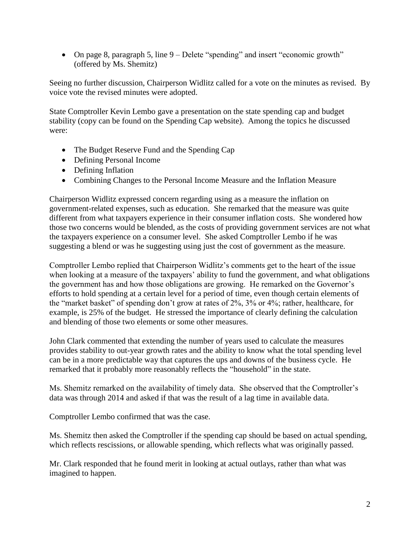• On page 8, paragraph 5, line 9 – Delete "spending" and insert "economic growth" (offered by Ms. Shemitz)

Seeing no further discussion, Chairperson Widlitz called for a vote on the minutes as revised. By voice vote the revised minutes were adopted.

State Comptroller Kevin Lembo gave a presentation on the state spending cap and budget stability (copy can be found on the Spending Cap website). Among the topics he discussed were:

- The Budget Reserve Fund and the Spending Cap
- Defining Personal Income
- Defining Inflation
- Combining Changes to the Personal Income Measure and the Inflation Measure

Chairperson Widlitz expressed concern regarding using as a measure the inflation on government-related expenses, such as education. She remarked that the measure was quite different from what taxpayers experience in their consumer inflation costs. She wondered how those two concerns would be blended, as the costs of providing government services are not what the taxpayers experience on a consumer level. She asked Comptroller Lembo if he was suggesting a blend or was he suggesting using just the cost of government as the measure.

Comptroller Lembo replied that Chairperson Widlitz's comments get to the heart of the issue when looking at a measure of the taxpayers' ability to fund the government, and what obligations the government has and how those obligations are growing. He remarked on the Governor's efforts to hold spending at a certain level for a period of time, even though certain elements of the "market basket" of spending don't grow at rates of 2%, 3% or 4%; rather, healthcare, for example, is 25% of the budget. He stressed the importance of clearly defining the calculation and blending of those two elements or some other measures.

John Clark commented that extending the number of years used to calculate the measures provides stability to out-year growth rates and the ability to know what the total spending level can be in a more predictable way that captures the ups and downs of the business cycle. He remarked that it probably more reasonably reflects the "household" in the state.

Ms. Shemitz remarked on the availability of timely data. She observed that the Comptroller's data was through 2014 and asked if that was the result of a lag time in available data.

Comptroller Lembo confirmed that was the case.

Ms. Shemitz then asked the Comptroller if the spending cap should be based on actual spending, which reflects rescissions, or allowable spending, which reflects what was originally passed.

Mr. Clark responded that he found merit in looking at actual outlays, rather than what was imagined to happen.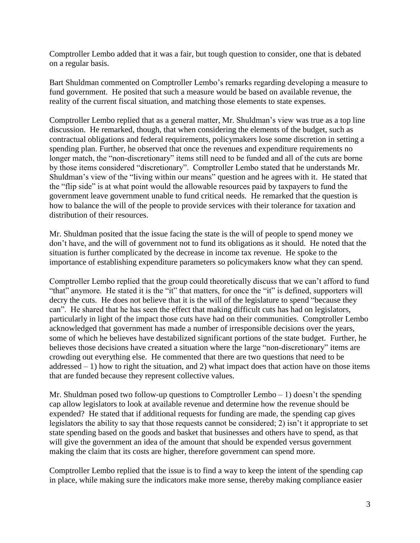Comptroller Lembo added that it was a fair, but tough question to consider, one that is debated on a regular basis.

Bart Shuldman commented on Comptroller Lembo's remarks regarding developing a measure to fund government. He posited that such a measure would be based on available revenue, the reality of the current fiscal situation, and matching those elements to state expenses.

Comptroller Lembo replied that as a general matter, Mr. Shuldman's view was true as a top line discussion. He remarked, though, that when considering the elements of the budget, such as contractual obligations and federal requirements, policymakers lose some discretion in setting a spending plan. Further, he observed that once the revenues and expenditure requirements no longer match, the "non-discretionary" items still need to be funded and all of the cuts are borne by those items considered "discretionary". Comptroller Lembo stated that he understands Mr. Shuldman's view of the "living within our means" question and he agrees with it. He stated that the "flip side" is at what point would the allowable resources paid by taxpayers to fund the government leave government unable to fund critical needs. He remarked that the question is how to balance the will of the people to provide services with their tolerance for taxation and distribution of their resources.

Mr. Shuldman posited that the issue facing the state is the will of people to spend money we don't have, and the will of government not to fund its obligations as it should. He noted that the situation is further complicated by the decrease in income tax revenue. He spoke to the importance of establishing expenditure parameters so policymakers know what they can spend.

Comptroller Lembo replied that the group could theoretically discuss that we can't afford to fund "that" anymore. He stated it is the "it" that matters, for once the "it" is defined, supporters will decry the cuts. He does not believe that it is the will of the legislature to spend "because they can". He shared that he has seen the effect that making difficult cuts has had on legislators, particularly in light of the impact those cuts have had on their communities. Comptroller Lembo acknowledged that government has made a number of irresponsible decisions over the years, some of which he believes have destabilized significant portions of the state budget. Further, he believes those decisions have created a situation where the large "non-discretionary" items are crowding out everything else. He commented that there are two questions that need to be  $addressed - 1$ ) how to right the situation, and 2) what impact does that action have on those items that are funded because they represent collective values.

Mr. Shuldman posed two follow-up questions to Comptroller Lembo  $-1$ ) doesn't the spending cap allow legislators to look at available revenue and determine how the revenue should be expended? He stated that if additional requests for funding are made, the spending cap gives legislators the ability to say that those requests cannot be considered; 2) isn't it appropriate to set state spending based on the goods and basket that businesses and others have to spend, as that will give the government an idea of the amount that should be expended versus government making the claim that its costs are higher, therefore government can spend more.

Comptroller Lembo replied that the issue is to find a way to keep the intent of the spending cap in place, while making sure the indicators make more sense, thereby making compliance easier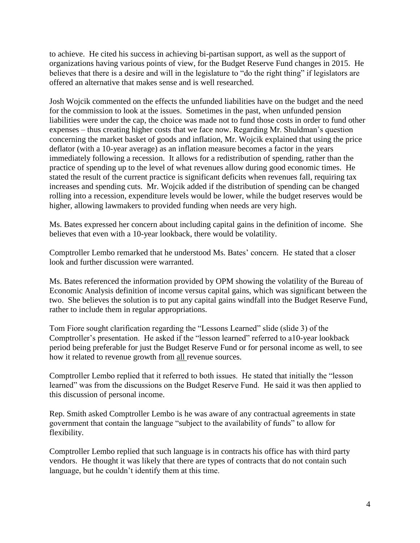to achieve. He cited his success in achieving bi-partisan support, as well as the support of organizations having various points of view, for the Budget Reserve Fund changes in 2015. He believes that there is a desire and will in the legislature to "do the right thing" if legislators are offered an alternative that makes sense and is well researched.

Josh Wojcik commented on the effects the unfunded liabilities have on the budget and the need for the commission to look at the issues. Sometimes in the past, when unfunded pension liabilities were under the cap, the choice was made not to fund those costs in order to fund other expenses – thus creating higher costs that we face now. Regarding Mr. Shuldman's question concerning the market basket of goods and inflation, Mr. Wojcik explained that using the price deflator (with a 10-year average) as an inflation measure becomes a factor in the years immediately following a recession. It allows for a redistribution of spending, rather than the practice of spending up to the level of what revenues allow during good economic times. He stated the result of the current practice is significant deficits when revenues fall, requiring tax increases and spending cuts. Mr. Wojcik added if the distribution of spending can be changed rolling into a recession, expenditure levels would be lower, while the budget reserves would be higher, allowing lawmakers to provided funding when needs are very high.

Ms. Bates expressed her concern about including capital gains in the definition of income. She believes that even with a 10-year lookback, there would be volatility.

Comptroller Lembo remarked that he understood Ms. Bates' concern. He stated that a closer look and further discussion were warranted.

Ms. Bates referenced the information provided by OPM showing the volatility of the Bureau of Economic Analysis definition of income versus capital gains, which was significant between the two. She believes the solution is to put any capital gains windfall into the Budget Reserve Fund, rather to include them in regular appropriations.

Tom Fiore sought clarification regarding the "Lessons Learned" slide (slide 3) of the Comptroller's presentation. He asked if the "lesson learned" referred to a10-year lookback period being preferable for just the Budget Reserve Fund or for personal income as well, to see how it related to revenue growth from all revenue sources.

Comptroller Lembo replied that it referred to both issues. He stated that initially the "lesson learned" was from the discussions on the Budget Reserve Fund. He said it was then applied to this discussion of personal income.

Rep. Smith asked Comptroller Lembo is he was aware of any contractual agreements in state government that contain the language "subject to the availability of funds" to allow for flexibility.

Comptroller Lembo replied that such language is in contracts his office has with third party vendors. He thought it was likely that there are types of contracts that do not contain such language, but he couldn't identify them at this time.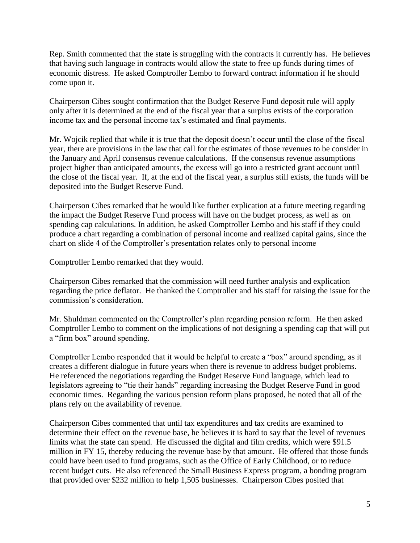Rep. Smith commented that the state is struggling with the contracts it currently has. He believes that having such language in contracts would allow the state to free up funds during times of economic distress. He asked Comptroller Lembo to forward contract information if he should come upon it.

Chairperson Cibes sought confirmation that the Budget Reserve Fund deposit rule will apply only after it is determined at the end of the fiscal year that a surplus exists of the corporation income tax and the personal income tax's estimated and final payments.

Mr. Wojcik replied that while it is true that the deposit doesn't occur until the close of the fiscal year, there are provisions in the law that call for the estimates of those revenues to be consider in the January and April consensus revenue calculations. If the consensus revenue assumptions project higher than anticipated amounts, the excess will go into a restricted grant account until the close of the fiscal year. If, at the end of the fiscal year, a surplus still exists, the funds will be deposited into the Budget Reserve Fund.

Chairperson Cibes remarked that he would like further explication at a future meeting regarding the impact the Budget Reserve Fund process will have on the budget process, as well as on spending cap calculations. In addition, he asked Comptroller Lembo and his staff if they could produce a chart regarding a combination of personal income and realized capital gains, since the chart on slide 4 of the Comptroller's presentation relates only to personal income

Comptroller Lembo remarked that they would.

Chairperson Cibes remarked that the commission will need further analysis and explication regarding the price deflator. He thanked the Comptroller and his staff for raising the issue for the commission's consideration.

Mr. Shuldman commented on the Comptroller's plan regarding pension reform. He then asked Comptroller Lembo to comment on the implications of not designing a spending cap that will put a "firm box" around spending.

Comptroller Lembo responded that it would be helpful to create a "box" around spending, as it creates a different dialogue in future years when there is revenue to address budget problems. He referenced the negotiations regarding the Budget Reserve Fund language, which lead to legislators agreeing to "tie their hands" regarding increasing the Budget Reserve Fund in good economic times. Regarding the various pension reform plans proposed, he noted that all of the plans rely on the availability of revenue.

Chairperson Cibes commented that until tax expenditures and tax credits are examined to determine their effect on the revenue base, he believes it is hard to say that the level of revenues limits what the state can spend. He discussed the digital and film credits, which were \$91.5 million in FY 15, thereby reducing the revenue base by that amount. He offered that those funds could have been used to fund programs, such as the Office of Early Childhood, or to reduce recent budget cuts. He also referenced the Small Business Express program, a bonding program that provided over \$232 million to help 1,505 businesses. Chairperson Cibes posited that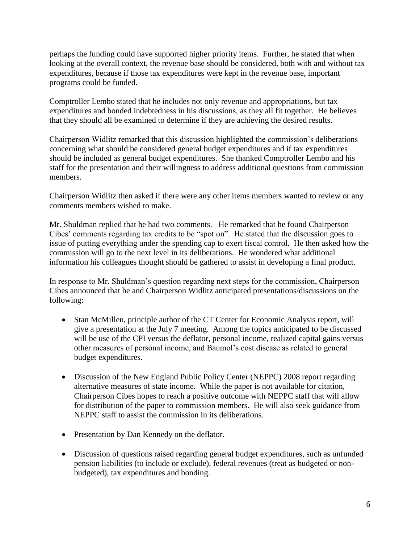perhaps the funding could have supported higher priority items. Further, he stated that when looking at the overall context, the revenue base should be considered, both with and without tax expenditures, because if those tax expenditures were kept in the revenue base, important programs could be funded.

Comptroller Lembo stated that he includes not only revenue and appropriations, but tax expenditures and bonded indebtedness in his discussions, as they all fit together. He believes that they should all be examined to determine if they are achieving the desired results.

Chairperson Widlitz remarked that this discussion highlighted the commission's deliberations concerning what should be considered general budget expenditures and if tax expenditures should be included as general budget expenditures. She thanked Comptroller Lembo and his staff for the presentation and their willingness to address additional questions from commission members.

Chairperson Widlitz then asked if there were any other items members wanted to review or any comments members wished to make.

Mr. Shuldman replied that he had two comments. He remarked that he found Chairperson Cibes' comments regarding tax credits to be "spot on". He stated that the discussion goes to issue of putting everything under the spending cap to exert fiscal control. He then asked how the commission will go to the next level in its deliberations. He wondered what additional information his colleagues thought should be gathered to assist in developing a final product.

In response to Mr. Shuldman's question regarding next steps for the commission, Chairperson Cibes announced that he and Chairperson Widlitz anticipated presentations/discussions on the following:

- Stan McMillen, principle author of the CT Center for Economic Analysis report, will give a presentation at the July 7 meeting. Among the topics anticipated to be discussed will be use of the CPI versus the deflator, personal income, realized capital gains versus other measures of personal income, and Baumol's cost disease as related to general budget expenditures.
- Discussion of the New England Public Policy Center (NEPPC) 2008 report regarding alternative measures of state income. While the paper is not available for citation, Chairperson Cibes hopes to reach a positive outcome with NEPPC staff that will allow for distribution of the paper to commission members. He will also seek guidance from NEPPC staff to assist the commission in its deliberations.
- Presentation by Dan Kennedy on the deflator.
- Discussion of questions raised regarding general budget expenditures, such as unfunded pension liabilities (to include or exclude), federal revenues (treat as budgeted or nonbudgeted), tax expenditures and bonding.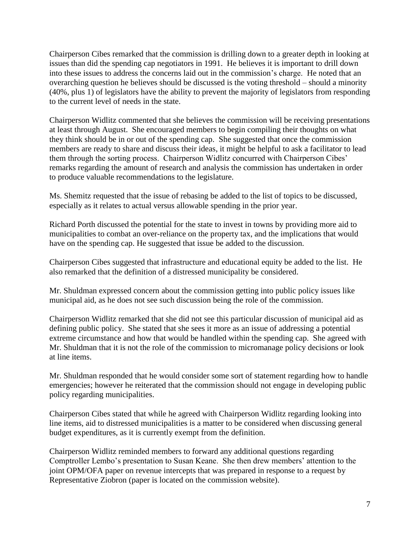Chairperson Cibes remarked that the commission is drilling down to a greater depth in looking at issues than did the spending cap negotiators in 1991. He believes it is important to drill down into these issues to address the concerns laid out in the commission's charge. He noted that an overarching question he believes should be discussed is the voting threshold – should a minority (40%, plus 1) of legislators have the ability to prevent the majority of legislators from responding to the current level of needs in the state.

Chairperson Widlitz commented that she believes the commission will be receiving presentations at least through August. She encouraged members to begin compiling their thoughts on what they think should be in or out of the spending cap. She suggested that once the commission members are ready to share and discuss their ideas, it might be helpful to ask a facilitator to lead them through the sorting process. Chairperson Widlitz concurred with Chairperson Cibes' remarks regarding the amount of research and analysis the commission has undertaken in order to produce valuable recommendations to the legislature.

Ms. Shemitz requested that the issue of rebasing be added to the list of topics to be discussed, especially as it relates to actual versus allowable spending in the prior year.

Richard Porth discussed the potential for the state to invest in towns by providing more aid to municipalities to combat an over-reliance on the property tax, and the implications that would have on the spending cap. He suggested that issue be added to the discussion.

Chairperson Cibes suggested that infrastructure and educational equity be added to the list. He also remarked that the definition of a distressed municipality be considered.

Mr. Shuldman expressed concern about the commission getting into public policy issues like municipal aid, as he does not see such discussion being the role of the commission.

Chairperson Widlitz remarked that she did not see this particular discussion of municipal aid as defining public policy. She stated that she sees it more as an issue of addressing a potential extreme circumstance and how that would be handled within the spending cap. She agreed with Mr. Shuldman that it is not the role of the commission to micromanage policy decisions or look at line items.

Mr. Shuldman responded that he would consider some sort of statement regarding how to handle emergencies; however he reiterated that the commission should not engage in developing public policy regarding municipalities.

Chairperson Cibes stated that while he agreed with Chairperson Widlitz regarding looking into line items, aid to distressed municipalities is a matter to be considered when discussing general budget expenditures, as it is currently exempt from the definition.

Chairperson Widlitz reminded members to forward any additional questions regarding Comptroller Lembo's presentation to Susan Keane. She then drew members' attention to the joint OPM/OFA paper on revenue intercepts that was prepared in response to a request by Representative Ziobron (paper is located on the commission website).